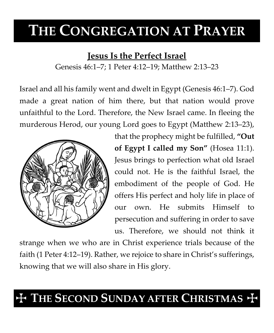# **THE CONGREGATION AT PRAYER**

### **Jesus Is the Perfect Israel**

Genesis 46:1–7; 1 Peter 4:12–19; Matthew 2:13–23

Israel and all his family went and dwelt in Egypt (Genesis 46:1–7). God made a great nation of him there, but that nation would prove unfaithful to the Lord. Therefore, the New Israel came. In fleeing the murderous Herod, our young Lord goes to Egypt (Matthew 2:13–23),



that the prophecy might be fulfilled, **"Out of Egypt I called my Son"** (Hosea 11:1). Jesus brings to perfection what old Israel could not. He is the faithful Israel, the embodiment of the people of God. He offers His perfect and holy life in place of our own. He submits Himself to persecution and suffering in order to save us. Therefore, we should not think it

strange when we who are in Christ experience trials because of the faith (1 Peter 4:12–19). Rather, we rejoice to share in Christ's sufferings, knowing that we will also share in His glory.

## **THE SECOND SUNDAY AFTER CHRISTMAS +**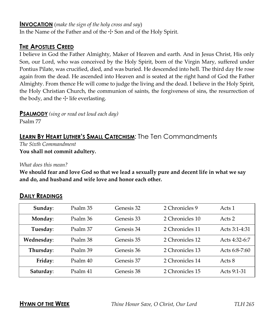#### **INVOCATION** (*make the sign of the holy cross and say*)

In the Name of the Father and of the  $\pm$  Son and of the Holy Spirit.

#### **THE APOSTLES CREED**

I believe in God the Father Almighty, Maker of Heaven and earth. And in Jesus Christ, His only Son, our Lord, who was conceived by the Holy Spirit, born of the Virgin Mary, suffered under Pontius Pilate, was crucified, died, and was buried. He descended into hell. The third day He rose again from the dead. He ascended into Heaven and is seated at the right hand of God the Father Almighty. From thence He will come to judge the living and the dead. I believe in the Holy Spirit, the Holy Christian Church, the communion of saints, the forgiveness of sins, the resurrection of the body, and the  $\pm$  life everlasting.

**PSALMODY** *(sing or read out loud each day)*

Psalm 77

### **LEARN BY HEART LUTHER'S SMALL CATECHISM**: The Ten Commandments

*The Sixth Commandment* **You shall not commit adultery.**

*What does this mean?*

**We should fear and love God so that we lead a sexually pure and decent life in what we say and do, and husband and wife love and honor each other.**

| Sunday:    | Psalm 35 | Genesis 32 | 2 Chronicles 9  | Acts 1        |
|------------|----------|------------|-----------------|---------------|
| Monday:    | Psalm 36 | Genesis 33 | 2 Chronicles 10 | Acts 2        |
| Tuesday:   | Psalm 37 | Genesis 34 | 2 Chronicles 11 | Acts 3:1-4:31 |
| Wednesday: | Psalm 38 | Genesis 35 | 2 Chronicles 12 | Acts 4:32-6:7 |
| Thursday:  | Psalm 39 | Genesis 36 | 2 Chronicles 13 | Acts 6:8-7:60 |
| Friday:    | Psalm 40 | Genesis 37 | 2 Chronicles 14 | Acts 8        |
| Saturday:  | Psalm 41 | Genesis 38 | 2 Chronicles 15 | Acts 9:1-31   |

#### **DAILY READINGS**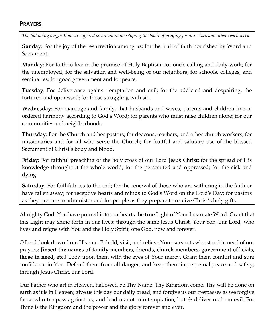#### **PRAYERS**

*The following suggestions are offered as an aid in developing the habit of praying for ourselves and others each week:*

**Sunday**: For the joy of the resurrection among us; for the fruit of faith nourished by Word and Sacrament.

**Monday**: For faith to live in the promise of Holy Baptism; for one's calling and daily work; for the unemployed; for the salvation and well-being of our neighbors; for schools, colleges, and seminaries; for good government and for peace.

**Tuesday**: For deliverance against temptation and evil; for the addicted and despairing, the tortured and oppressed; for those struggling with sin.

**Wednesday**: For marriage and family, that husbands and wives, parents and children live in ordered harmony according to God's Word; for parents who must raise children alone; for our communities and neighborhoods.

**Thursday**: For the Church and her pastors; for deacons, teachers, and other church workers; for missionaries and for all who serve the Church; for fruitful and salutary use of the blessed Sacrament of Christ's body and blood.

**Friday**: For faithful preaching of the holy cross of our Lord Jesus Christ; for the spread of His knowledge throughout the whole world; for the persecuted and oppressed; for the sick and dying.

**Saturday**: For faithfulness to the end; for the renewal of those who are withering in the faith or have fallen away; for receptive hearts and minds to God's Word on the Lord's Day; for pastors as they prepare to administer and for people as they prepare to receive Christ's holy gifts.

Almighty God, You have poured into our hearts the true Light of Your Incarnate Word. Grant that this Light may shine forth in our lives; through the same Jesus Christ, Your Son, our Lord, who lives and reigns with You and the Holy Spirit, one God, now and forever.

O Lord, look down from Heaven. Behold, visit, and relieve Your servants who stand in need of our prayers: **[insert the names of family members, friends, church members, government officials, those in need, etc.]** Look upon them with the eyes of Your mercy. Grant them comfort and sure confidence in You. Defend them from all danger, and keep them in perpetual peace and safety, through Jesus Christ, our Lord.

Our Father who art in Heaven, hallowed be Thy Name, Thy Kingdom come, Thy will be done on earth as it is in Heaven; give us this day our daily bread; and forgive us our trespasses as we forgive those who trespass against us; and lead us not into temptation, but  $\pm$  deliver us from evil. For Thine is the Kingdom and the power and the glory forever and ever.